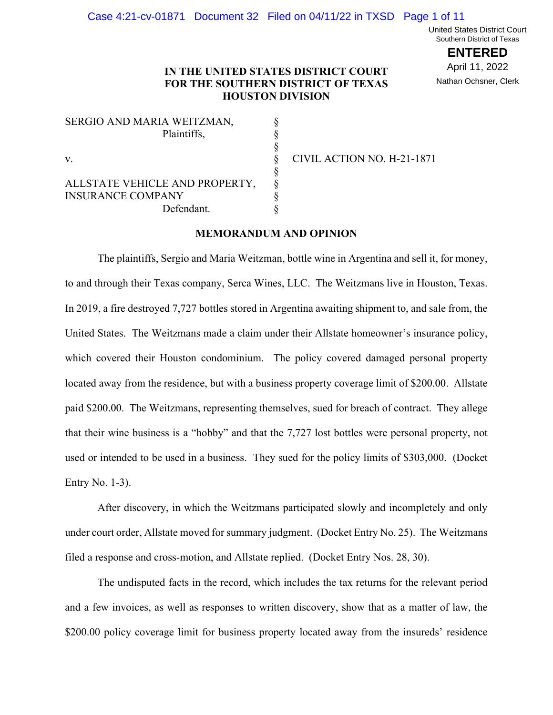United States District Court Southern District of Texas

> **ENTERED** April 11, 2022 Nathan Ochsner, Clerk

# **IN THE UNITED STATES DISTRICT COURT FOR THE SOUTHERN DISTRICT OF TEXAS HOUSTON DIVISION**

| SERGIO AND MARIA WEITZMAN,     |  |
|--------------------------------|--|
| Plaintiffs,                    |  |
|                                |  |
| V.                             |  |
|                                |  |
| ALLSTATE VEHICLE AND PROPERTY, |  |
| <b>INSURANCE COMPANY</b>       |  |
| Defendant.                     |  |
|                                |  |

CIVIL ACTION NO. H-21-1871

# **MEMORANDUM AND OPINION**

The plaintiffs, Sergio and Maria Weitzman, bottle wine in Argentina and sell it, for money, to and through their Texas company, Serca Wines, LLC. The Weitzmans live in Houston, Texas. In 2019, a fire destroyed 7,727 bottles stored in Argentina awaiting shipment to, and sale from, the United States. The Weitzmans made a claim under their Allstate homeowner's insurance policy, which covered their Houston condominium. The policy covered damaged personal property located away from the residence, but with a business property coverage limit of \$200.00. Allstate paid \$200.00. The Weitzmans, representing themselves, sued for breach of contract. They allege that their wine business is a "hobby" and that the 7,727 lost bottles were personal property, not used or intended to be used in a business. They sued for the policy limits of \$303,000. (Docket Entry No. 1-3).

After discovery, in which the Weitzmans participated slowly and incompletely and only under court order, Allstate moved for summary judgment. (Docket Entry No. 25). The Weitzmans filed a response and cross-motion, and Allstate replied. (Docket Entry Nos. 28, 30).

The undisputed facts in the record, which includes the tax returns for the relevant period and a few invoices, as well as responses to written discovery, show that as a matter of law, the \$200.00 policy coverage limit for business property located away from the insureds' residence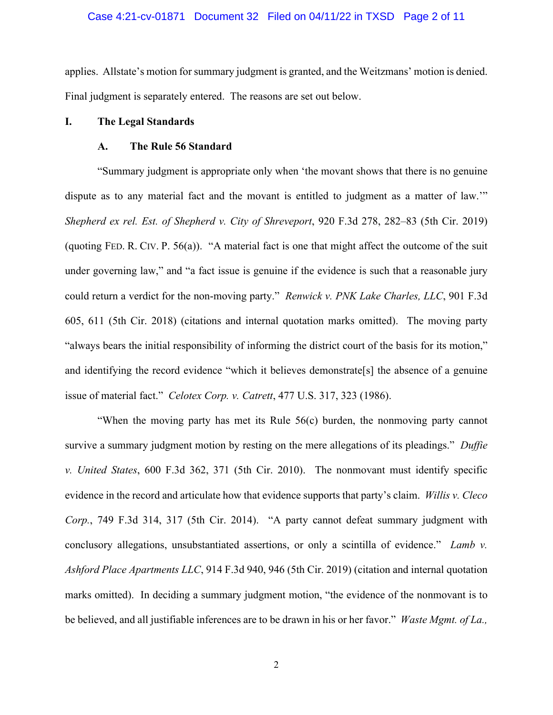### Case 4:21-cv-01871 Document 32 Filed on 04/11/22 in TXSD Page 2 of 11

applies. Allstate's motion for summary judgment is granted, and the Weitzmans' motion is denied. Final judgment is separately entered. The reasons are set out below.

### **I. The Legal Standards**

### **A. The Rule 56 Standard**

"Summary judgment is appropriate only when 'the movant shows that there is no genuine dispute as to any material fact and the movant is entitled to judgment as a matter of law.'" *Shepherd ex rel. Est. of Shepherd v. City of Shreveport*, 920 F.3d 278, 282–83 (5th Cir. 2019) (quoting FED. R. CIV. P. 56(a)). "A material fact is one that might affect the outcome of the suit under governing law," and "a fact issue is genuine if the evidence is such that a reasonable jury could return a verdict for the non-moving party." *Renwick v. PNK Lake Charles, LLC*, 901 F.3d 605, 611 (5th Cir. 2018) (citations and internal quotation marks omitted). The moving party "always bears the initial responsibility of informing the district court of the basis for its motion," and identifying the record evidence "which it believes demonstrate[s] the absence of a genuine issue of material fact." *Celotex Corp. v. Catrett*, 477 U.S. 317, 323 (1986).

"When the moving party has met its Rule 56(c) burden, the nonmoving party cannot survive a summary judgment motion by resting on the mere allegations of its pleadings." *Duffie v. United States*, 600 F.3d 362, 371 (5th Cir. 2010). The nonmovant must identify specific evidence in the record and articulate how that evidence supports that party's claim. *Willis v. Cleco Corp.*, 749 F.3d 314, 317 (5th Cir. 2014). "A party cannot defeat summary judgment with conclusory allegations, unsubstantiated assertions, or only a scintilla of evidence." *Lamb v. Ashford Place Apartments LLC*, 914 F.3d 940, 946 (5th Cir. 2019) (citation and internal quotation marks omitted). In deciding a summary judgment motion, "the evidence of the nonmovant is to be believed, and all justifiable inferences are to be drawn in his or her favor." *Waste Mgmt. of La.,*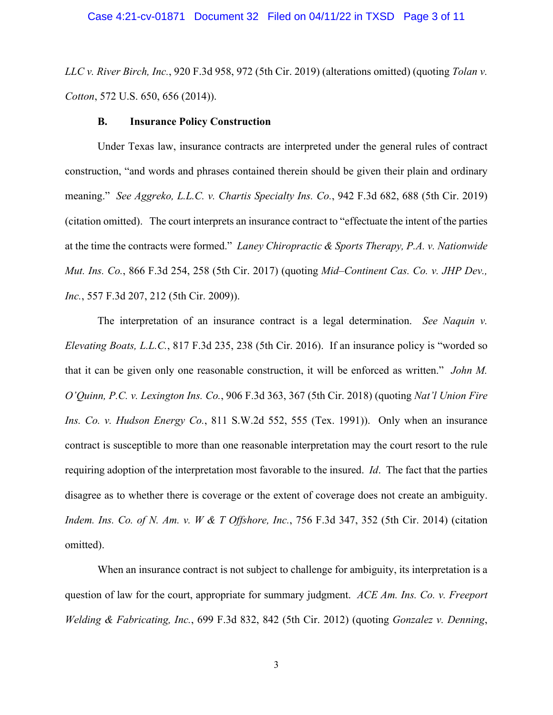*LLC v. River Birch, Inc.*, 920 F.3d 958, 972 (5th Cir. 2019) (alterations omitted) (quoting *Tolan v. Cotton*, 572 U.S. 650, 656 (2014)).

#### **B. Insurance Policy Construction**

Under Texas law, insurance contracts are interpreted under the general rules of contract construction, "and words and phrases contained therein should be given their plain and ordinary meaning." *See Aggreko, L.L.C. v. Chartis Specialty Ins. Co.*, 942 F.3d 682, 688 (5th Cir. 2019) (citation omitted). The court interprets an insurance contract to "effectuate the intent of the parties at the time the contracts were formed." *Laney Chiropractic & Sports Therapy, P.A. v. Nationwide Mut. Ins. Co.*, 866 F.3d 254, 258 (5th Cir. 2017) (quoting *Mid–Continent Cas. Co. v. JHP Dev., Inc.*, 557 F.3d 207, 212 (5th Cir. 2009)).

The interpretation of an insurance contract is a legal determination. *See Naquin v. Elevating Boats, L.L.C.*, 817 F.3d 235, 238 (5th Cir. 2016). If an insurance policy is "worded so that it can be given only one reasonable construction, it will be enforced as written." *John M. O'Quinn, P.C. v. Lexington Ins. Co.*, 906 F.3d 363, 367 (5th Cir. 2018) (quoting *Nat'l Union Fire Ins. Co. v. Hudson Energy Co.*, 811 S.W.2d 552, 555 (Tex. 1991)). Only when an insurance contract is susceptible to more than one reasonable interpretation may the court resort to the rule requiring adoption of the interpretation most favorable to the insured. *Id*. The fact that the parties disagree as to whether there is coverage or the extent of coverage does not create an ambiguity. *Indem. Ins. Co. of N. Am. v. W & T Offshore, Inc.*, 756 F.3d 347, 352 (5th Cir. 2014) (citation omitted).

When an insurance contract is not subject to challenge for ambiguity, its interpretation is a question of law for the court, appropriate for summary judgment. *ACE Am. Ins. Co. v. Freeport Welding & Fabricating, Inc.*, 699 F.3d 832, 842 (5th Cir. 2012) (quoting *Gonzalez v. Denning*,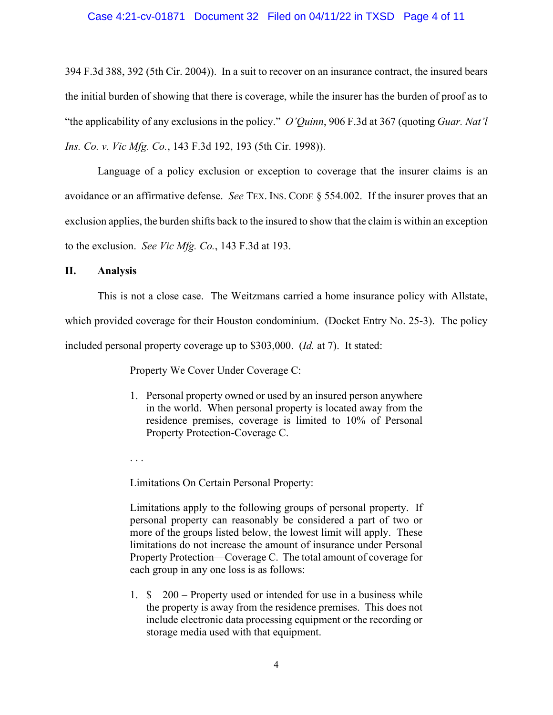# Case 4:21-cv-01871 Document 32 Filed on 04/11/22 in TXSD Page 4 of 11

394 F.3d 388, 392 (5th Cir. 2004)). In a suit to recover on an insurance contract, the insured bears the initial burden of showing that there is coverage, while the insurer has the burden of proof as to "the applicability of any exclusions in the policy." *O'Quinn*, 906 F.3d at 367 (quoting *Guar. Nat'l Ins. Co. v. Vic Mfg. Co.*, 143 F.3d 192, 193 (5th Cir. 1998)).

Language of a policy exclusion or exception to coverage that the insurer claims is an avoidance or an affirmative defense. *See* TEX. INS. CODE § 554.002. If the insurer proves that an exclusion applies, the burden shifts back to the insured to show that the claim is within an exception to the exclusion. *See Vic Mfg. Co.*, 143 F.3d at 193.

### **II. Analysis**

This is not a close case. The Weitzmans carried a home insurance policy with Allstate, which provided coverage for their Houston condominium. (Docket Entry No. 25-3). The policy included personal property coverage up to \$303,000. (*Id.* at 7). It stated:

Property We Cover Under Coverage C:

1. Personal property owned or used by an insured person anywhere in the world. When personal property is located away from the residence premises, coverage is limited to 10% of Personal Property Protection-Coverage C.

. . .

Limitations On Certain Personal Property:

Limitations apply to the following groups of personal property. If personal property can reasonably be considered a part of two or more of the groups listed below, the lowest limit will apply. These limitations do not increase the amount of insurance under Personal Property Protection—Coverage C. The total amount of coverage for each group in any one loss is as follows:

1. \$ 200 – Property used or intended for use in a business while the property is away from the residence premises. This does not include electronic data processing equipment or the recording or storage media used with that equipment.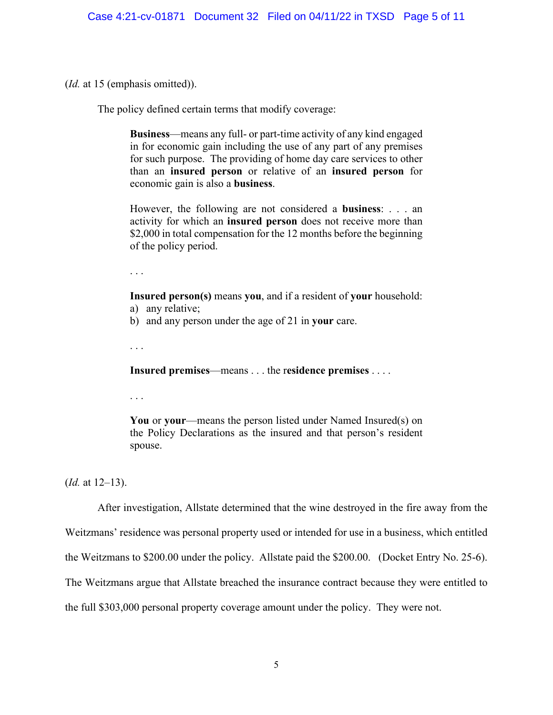(*Id.* at 15 (emphasis omitted)).

The policy defined certain terms that modify coverage:

**Business**—means any full- or part-time activity of any kind engaged in for economic gain including the use of any part of any premises for such purpose. The providing of home day care services to other than an **insured person** or relative of an **insured person** for economic gain is also a **business**.

However, the following are not considered a **business**: . . . an activity for which an **insured person** does not receive more than \$2,000 in total compensation for the 12 months before the beginning of the policy period.

. . .

**Insured person(s)** means **you**, and if a resident of **your** household: a) any relative;

b) and any person under the age of 21 in **your** care.

. . .

**Insured premises**—means . . . the r**esidence premises** . . . .

. . .

**You** or **your**—means the person listed under Named Insured(s) on the Policy Declarations as the insured and that person's resident spouse.

(*Id.* at 12–13).

After investigation, Allstate determined that the wine destroyed in the fire away from the Weitzmans' residence was personal property used or intended for use in a business, which entitled the Weitzmans to \$200.00 under the policy. Allstate paid the \$200.00. (Docket Entry No. 25-6). The Weitzmans argue that Allstate breached the insurance contract because they were entitled to the full \$303,000 personal property coverage amount under the policy. They were not.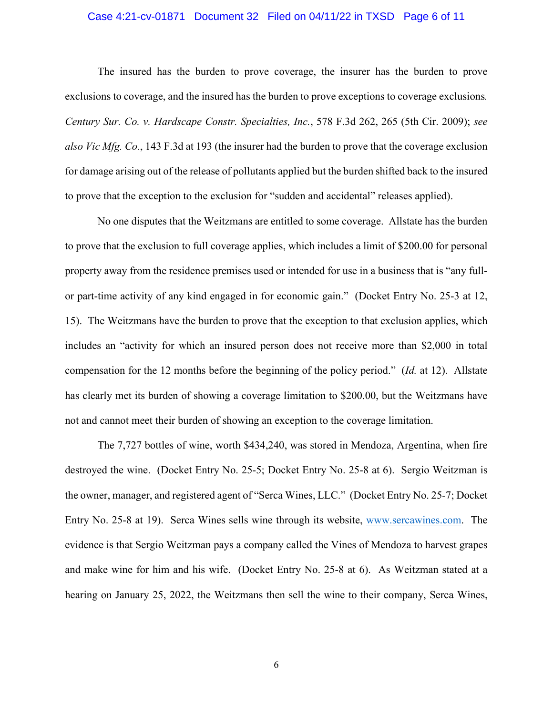### Case 4:21-cv-01871 Document 32 Filed on 04/11/22 in TXSD Page 6 of 11

The insured has the burden to prove coverage, the insurer has the burden to prove exclusions to coverage, and the insured has the burden to prove exceptions to coverage exclusions*. Century Sur. Co. v. Hardscape Constr. Specialties, Inc.*, 578 F.3d 262, 265 (5th Cir. 2009); *see also Vic Mfg. Co.*, 143 F.3d at 193 (the insurer had the burden to prove that the coverage exclusion for damage arising out of the release of pollutants applied but the burden shifted back to the insured to prove that the exception to the exclusion for "sudden and accidental" releases applied).

No one disputes that the Weitzmans are entitled to some coverage. Allstate has the burden to prove that the exclusion to full coverage applies, which includes a limit of \$200.00 for personal property away from the residence premises used or intended for use in a business that is "any fullor part-time activity of any kind engaged in for economic gain." (Docket Entry No. 25-3 at 12, 15). The Weitzmans have the burden to prove that the exception to that exclusion applies, which includes an "activity for which an insured person does not receive more than \$2,000 in total compensation for the 12 months before the beginning of the policy period." (*Id.* at 12). Allstate has clearly met its burden of showing a coverage limitation to \$200.00, but the Weitzmans have not and cannot meet their burden of showing an exception to the coverage limitation.

The 7,727 bottles of wine, worth \$434,240, was stored in Mendoza, Argentina, when fire destroyed the wine. (Docket Entry No. 25-5; Docket Entry No. 25-8 at 6). Sergio Weitzman is the owner, manager, and registered agent of "Serca Wines, LLC." (Docket Entry No. 25-7; Docket Entry No. 25-8 at 19). Serca Wines sells wine through its website, www.sercawines.com. The evidence is that Sergio Weitzman pays a company called the Vines of Mendoza to harvest grapes and make wine for him and his wife. (Docket Entry No. 25-8 at 6). As Weitzman stated at a hearing on January 25, 2022, the Weitzmans then sell the wine to their company, Serca Wines,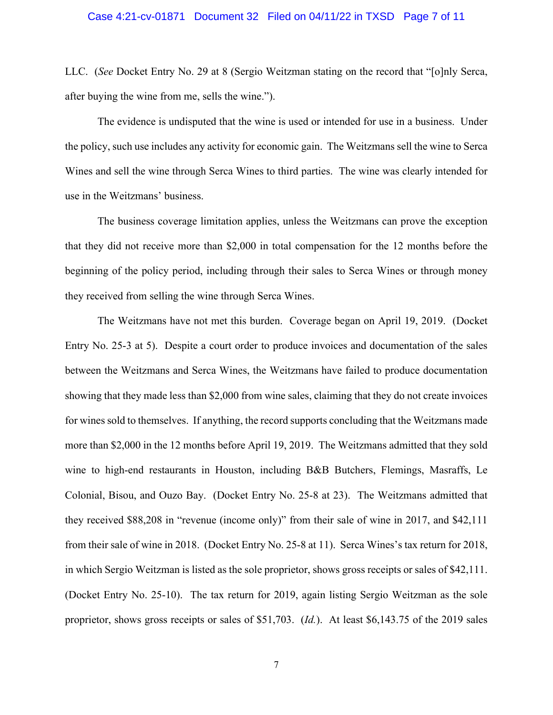LLC. (*See* Docket Entry No. 29 at 8 (Sergio Weitzman stating on the record that "[o]nly Serca, after buying the wine from me, sells the wine.").

The evidence is undisputed that the wine is used or intended for use in a business. Under the policy, such use includes any activity for economic gain. The Weitzmans sell the wine to Serca Wines and sell the wine through Serca Wines to third parties. The wine was clearly intended for use in the Weitzmans' business.

The business coverage limitation applies, unless the Weitzmans can prove the exception that they did not receive more than \$2,000 in total compensation for the 12 months before the beginning of the policy period, including through their sales to Serca Wines or through money they received from selling the wine through Serca Wines.

The Weitzmans have not met this burden. Coverage began on April 19, 2019. (Docket Entry No. 25-3 at 5). Despite a court order to produce invoices and documentation of the sales between the Weitzmans and Serca Wines, the Weitzmans have failed to produce documentation showing that they made less than \$2,000 from wine sales, claiming that they do not create invoices for wines sold to themselves. If anything, the record supports concluding that the Weitzmans made more than \$2,000 in the 12 months before April 19, 2019. The Weitzmans admitted that they sold wine to high-end restaurants in Houston, including B&B Butchers, Flemings, Masraffs, Le Colonial, Bisou, and Ouzo Bay. (Docket Entry No. 25-8 at 23). The Weitzmans admitted that they received \$88,208 in "revenue (income only)" from their sale of wine in 2017, and \$42,111 from their sale of wine in 2018. (Docket Entry No. 25-8 at 11). Serca Wines's tax return for 2018, in which Sergio Weitzman is listed as the sole proprietor, shows gross receipts or sales of \$42,111. (Docket Entry No. 25-10). The tax return for 2019, again listing Sergio Weitzman as the sole proprietor, shows gross receipts or sales of \$51,703. (*Id.*). At least \$6,143.75 of the 2019 sales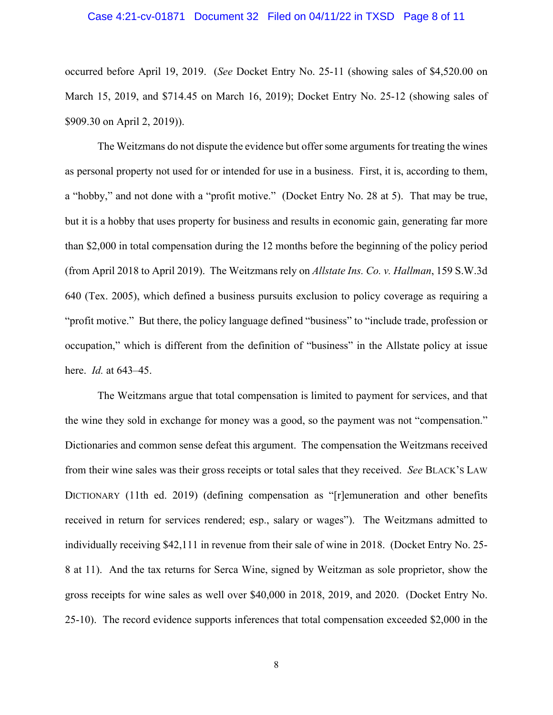### Case 4:21-cv-01871 Document 32 Filed on 04/11/22 in TXSD Page 8 of 11

occurred before April 19, 2019. (*See* Docket Entry No. 25-11 (showing sales of \$4,520.00 on March 15, 2019, and \$714.45 on March 16, 2019); Docket Entry No. 25-12 (showing sales of \$909.30 on April 2, 2019)).

The Weitzmans do not dispute the evidence but offer some arguments for treating the wines as personal property not used for or intended for use in a business. First, it is, according to them, a "hobby," and not done with a "profit motive." (Docket Entry No. 28 at 5). That may be true, but it is a hobby that uses property for business and results in economic gain, generating far more than \$2,000 in total compensation during the 12 months before the beginning of the policy period (from April 2018 to April 2019). The Weitzmans rely on *Allstate Ins. Co. v. Hallman*, 159 S.W.3d 640 (Tex. 2005), which defined a business pursuits exclusion to policy coverage as requiring a "profit motive." But there, the policy language defined "business" to "include trade, profession or occupation," which is different from the definition of "business" in the Allstate policy at issue here. *Id.* at 643–45.

The Weitzmans argue that total compensation is limited to payment for services, and that the wine they sold in exchange for money was a good, so the payment was not "compensation." Dictionaries and common sense defeat this argument. The compensation the Weitzmans received from their wine sales was their gross receipts or total sales that they received. *See* BLACK'S LAW DICTIONARY (11th ed. 2019) (defining compensation as "[r]emuneration and other benefits received in return for services rendered; esp., salary or wages"). The Weitzmans admitted to individually receiving \$42,111 in revenue from their sale of wine in 2018. (Docket Entry No. 25- 8 at 11). And the tax returns for Serca Wine, signed by Weitzman as sole proprietor, show the gross receipts for wine sales as well over \$40,000 in 2018, 2019, and 2020. (Docket Entry No. 25-10). The record evidence supports inferences that total compensation exceeded \$2,000 in the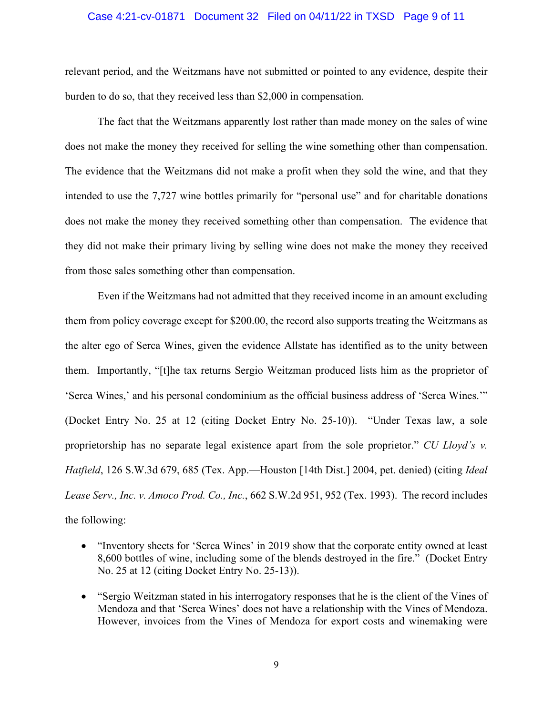### Case 4:21-cv-01871 Document 32 Filed on 04/11/22 in TXSD Page 9 of 11

relevant period, and the Weitzmans have not submitted or pointed to any evidence, despite their burden to do so, that they received less than \$2,000 in compensation.

The fact that the Weitzmans apparently lost rather than made money on the sales of wine does not make the money they received for selling the wine something other than compensation. The evidence that the Weitzmans did not make a profit when they sold the wine, and that they intended to use the 7,727 wine bottles primarily for "personal use" and for charitable donations does not make the money they received something other than compensation. The evidence that they did not make their primary living by selling wine does not make the money they received from those sales something other than compensation.

Even if the Weitzmans had not admitted that they received income in an amount excluding them from policy coverage except for \$200.00, the record also supports treating the Weitzmans as the alter ego of Serca Wines, given the evidence Allstate has identified as to the unity between them. Importantly, "[t]he tax returns Sergio Weitzman produced lists him as the proprietor of 'Serca Wines,' and his personal condominium as the official business address of 'Serca Wines.'" (Docket Entry No. 25 at 12 (citing Docket Entry No. 25-10)). "Under Texas law, a sole proprietorship has no separate legal existence apart from the sole proprietor." *CU Lloyd's v. Hatfield*, 126 S.W.3d 679, 685 (Tex. App.—Houston [14th Dist.] 2004, pet. denied) (citing *Ideal Lease Serv., Inc. v. Amoco Prod. Co., Inc.*, 662 S.W.2d 951, 952 (Tex. 1993). The record includes the following:

- "Inventory sheets for 'Serca Wines' in 2019 show that the corporate entity owned at least 8,600 bottles of wine, including some of the blends destroyed in the fire." (Docket Entry No. 25 at 12 (citing Docket Entry No. 25-13)).
- "Sergio Weitzman stated in his interrogatory responses that he is the client of the Vines of Mendoza and that 'Serca Wines' does not have a relationship with the Vines of Mendoza. However, invoices from the Vines of Mendoza for export costs and winemaking were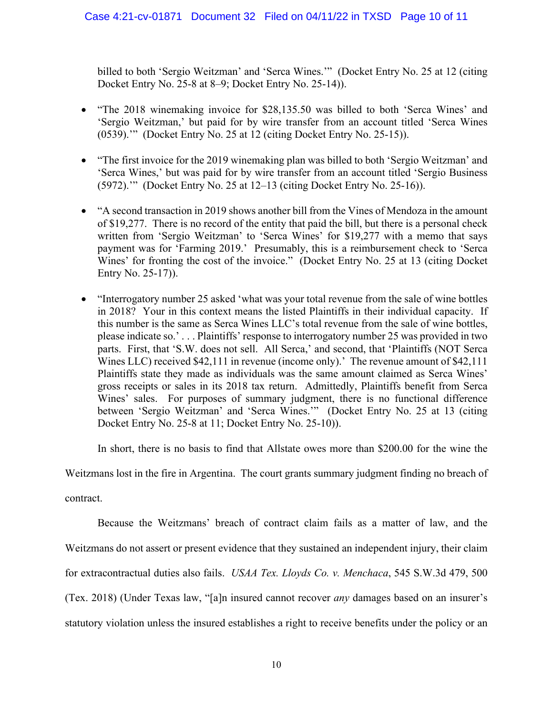billed to both 'Sergio Weitzman' and 'Serca Wines.'" (Docket Entry No. 25 at 12 (citing Docket Entry No. 25-8 at 8–9; Docket Entry No. 25-14)).

- "The 2018 winemaking invoice for \$28,135.50 was billed to both 'Serca Wines' and 'Sergio Weitzman,' but paid for by wire transfer from an account titled 'Serca Wines (0539).'" (Docket Entry No. 25 at 12 (citing Docket Entry No. 25-15)).
- "The first invoice for the 2019 winemaking plan was billed to both 'Sergio Weitzman' and 'Serca Wines,' but was paid for by wire transfer from an account titled 'Sergio Business (5972).'" (Docket Entry No. 25 at 12–13 (citing Docket Entry No. 25-16)).
- "A second transaction in 2019 shows another bill from the Vines of Mendoza in the amount of \$19,277. There is no record of the entity that paid the bill, but there is a personal check written from 'Sergio Weitzman' to 'Serca Wines' for \$19,277 with a memo that says payment was for 'Farming 2019.' Presumably, this is a reimbursement check to 'Serca Wines' for fronting the cost of the invoice." (Docket Entry No. 25 at 13 (citing Docket Entry No. 25-17)).
- "Interrogatory number 25 asked 'what was your total revenue from the sale of wine bottles in 2018? Your in this context means the listed Plaintiffs in their individual capacity. If this number is the same as Serca Wines LLC's total revenue from the sale of wine bottles, please indicate so.' . . . Plaintiffs' response to interrogatory number 25 was provided in two parts. First, that 'S.W. does not sell. All Serca,' and second, that 'Plaintiffs (NOT Serca Wines LLC) received \$42,111 in revenue (income only).' The revenue amount of \$42,111 Plaintiffs state they made as individuals was the same amount claimed as Serca Wines' gross receipts or sales in its 2018 tax return. Admittedly, Plaintiffs benefit from Serca Wines' sales. For purposes of summary judgment, there is no functional difference between 'Sergio Weitzman' and 'Serca Wines.'" (Docket Entry No. 25 at 13 (citing Docket Entry No. 25-8 at 11; Docket Entry No. 25-10)).

In short, there is no basis to find that Allstate owes more than \$200.00 for the wine the

Weitzmans lost in the fire in Argentina. The court grants summary judgment finding no breach of

contract.

Because the Weitzmans' breach of contract claim fails as a matter of law, and the Weitzmans do not assert or present evidence that they sustained an independent injury, their claim for extracontractual duties also fails. *USAA Tex. Lloyds Co. v. Menchaca*, 545 S.W.3d 479, 500 (Tex. 2018) (Under Texas law, "[a]n insured cannot recover *any* damages based on an insurer's statutory violation unless the insured establishes a right to receive benefits under the policy or an